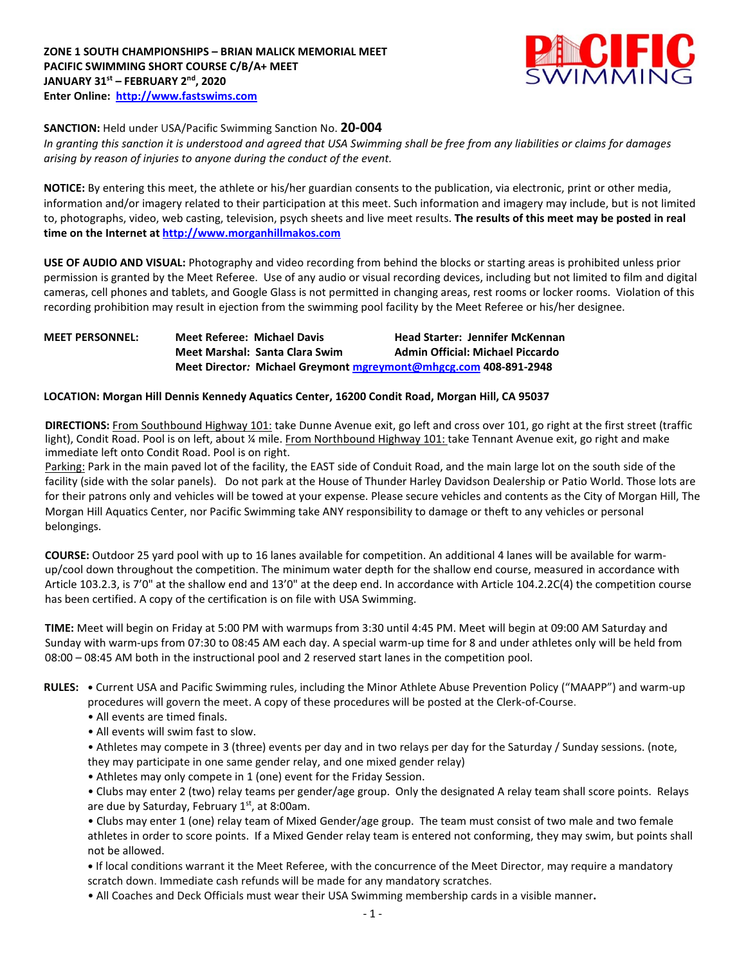

## **SANCTION:** Held under USA/Pacific Swimming Sanction No. **20-004**

*In granting this sanction it is understood and agreed that USA Swimming shall be free from any liabilities or claims for damages arising by reason of injuries to anyone during the conduct of the event.* 

**NOTICE:** By entering this meet, the athlete or his/her guardian consents to the publication, via electronic, print or other media, information and/or imagery related to their participation at this meet. Such information and imagery may include, but is not limited to, photographs, video, web casting, television, psych sheets and live meet results. **The results of this meet may be posted in real time on the Internet a[t http://www.morganhillmakos.com](http://www.morganhillmakos.com/)**

**USE OF AUDIO AND VISUAL:** Photography and video recording from behind the blocks or starting areas is prohibited unless prior permission is granted by the Meet Referee. Use of any audio or visual recording devices, including but not limited to film and digital cameras, cell phones and tablets, and Google Glass is not permitted in changing areas, rest rooms or locker rooms. Violation of this recording prohibition may result in ejection from the swimming pool facility by the Meet Referee or his/her designee.

# **MEET PERSONNEL: Meet Referee: Michael Davis Head Starter: Jennifer McKennan Meet Marshal: Santa Clara Swim Admin Official: Michael Piccardo Meet Director***:* **Michael Greymont [mgreymont@mhgcg.com](mailto:mgreymont@mhgcg.com) 408-891-2948**

# **LOCATION: Morgan Hill Dennis Kennedy Aquatics Center, 16200 Condit Road, Morgan Hill, CA 95037**

**DIRECTIONS:** From Southbound Highway 101: take Dunne Avenue exit, go left and cross over 101, go right at the first street (traffic light), Condit Road. Pool is on left, about ¼ mile. From Northbound Highway 101: take Tennant Avenue exit, go right and make immediate left onto Condit Road. Pool is on right.

Parking: Park in the main paved lot of the facility, the EAST side of Conduit Road, and the main large lot on the south side of the facility (side with the solar panels). Do not park at the House of Thunder Harley Davidson Dealership or Patio World. Those lots are for their patrons only and vehicles will be towed at your expense. Please secure vehicles and contents as the City of Morgan Hill, The Morgan Hill Aquatics Center, nor Pacific Swimming take ANY responsibility to damage or theft to any vehicles or personal belongings.

**COURSE:** Outdoor 25 yard pool with up to 16 lanes available for competition. An additional 4 lanes will be available for warmup/cool down throughout the competition. The minimum water depth for the shallow end course, measured in accordance with Article 103.2.3, is 7'0" at the shallow end and 13'0" at the deep end. In accordance with Article 104.2.2C(4) the competition course has been certified. A copy of the certification is on file with USA Swimming.

**TIME:** Meet will begin on Friday at 5:00 PM with warmups from 3:30 until 4:45 PM. Meet will begin at 09:00 AM Saturday and Sunday with warm-ups from 07:30 to 08:45 AM each day. A special warm-up time for 8 and under athletes only will be held from 08:00 – 08:45 AM both in the instructional pool and 2 reserved start lanes in the competition pool.

- **RULES: •** Current USA and Pacific Swimming rules, including the Minor Athlete Abuse Prevention Policy ("MAAPP") and warm-up procedures will govern the meet. A copy of these procedures will be posted at the Clerk-of-Course.
	- All events are timed finals.
	- All events will swim fast to slow.
	- Athletes may compete in 3 (three) events per day and in two relays per day for the Saturday / Sunday sessions. (note, they may participate in one same gender relay, and one mixed gender relay)
	- Athletes may only compete in 1 (one) event for the Friday Session.

• Clubs may enter 2 (two) relay teams per gender/age group. Only the designated A relay team shall score points. Relays are due by Saturday, February  $1<sup>st</sup>$ , at 8:00am.

• Clubs may enter 1 (one) relay team of Mixed Gender/age group. The team must consist of two male and two female athletes in order to score points. If a Mixed Gender relay team is entered not conforming, they may swim, but points shall not be allowed.

**•** If local conditions warrant it the Meet Referee, with the concurrence of the Meet Director, may require a mandatory scratch down. Immediate cash refunds will be made for any mandatory scratches.

• All Coaches and Deck Officials must wear their USA Swimming membership cards in a visible manner**.**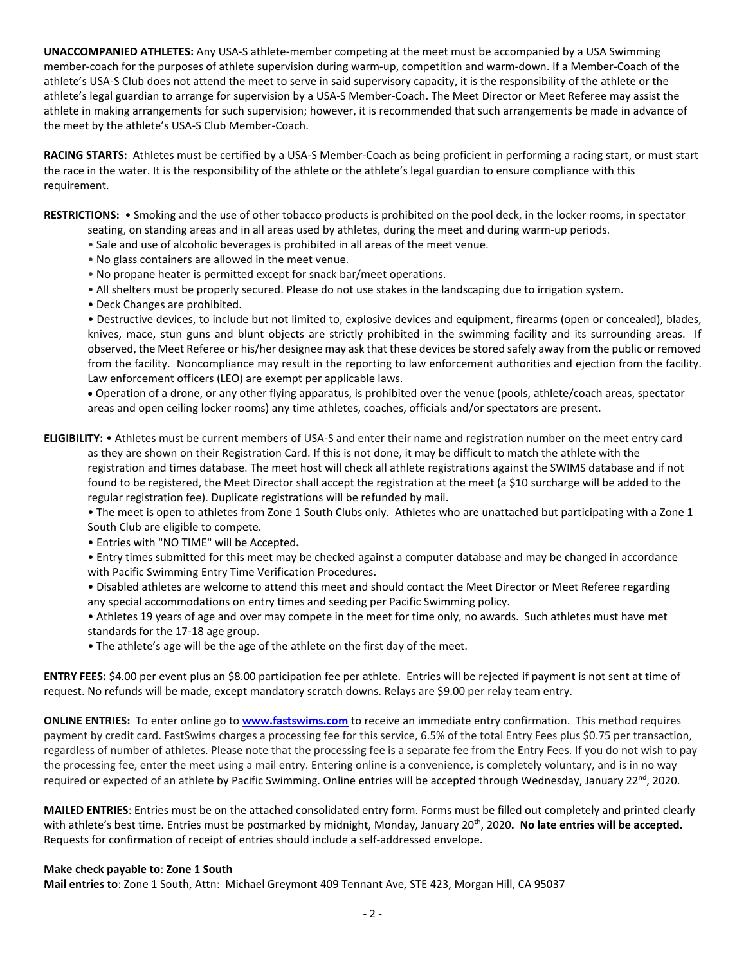**UNACCOMPANIED ATHLETES:** Any USA-S athlete-member competing at the meet must be accompanied by a USA Swimming member-coach for the purposes of athlete supervision during warm-up, competition and warm-down. If a Member-Coach of the athlete's USA-S Club does not attend the meet to serve in said supervisory capacity, it is the responsibility of the athlete or the athlete's legal guardian to arrange for supervision by a USA-S Member-Coach. The Meet Director or Meet Referee may assist the athlete in making arrangements for such supervision; however, it is recommended that such arrangements be made in advance of the meet by the athlete's USA-S Club Member-Coach.

**RACING STARTS:** Athletes must be certified by a USA-S Member-Coach as being proficient in performing a racing start, or must start the race in the water. It is the responsibility of the athlete or the athlete's legal guardian to ensure compliance with this requirement.

**RESTRICTIONS:** • Smoking and the use of other tobacco products is prohibited on the pool deck, in the locker rooms, in spectator seating, on standing areas and in all areas used by athletes, during the meet and during warm-up periods.

- Sale and use of alcoholic beverages is prohibited in all areas of the meet venue.
- No glass containers are allowed in the meet venue.
- No propane heater is permitted except for snack bar/meet operations.
- All shelters must be properly secured. Please do not use stakes in the landscaping due to irrigation system.
- Deck Changes are prohibited.

• Destructive devices, to include but not limited to, explosive devices and equipment, firearms (open or concealed), blades, knives, mace, stun guns and blunt objects are strictly prohibited in the swimming facility and its surrounding areas. If observed, the Meet Referee or his/her designee may ask that these devices be stored safely away from the public or removed from the facility. Noncompliance may result in the reporting to law enforcement authorities and ejection from the facility. Law enforcement officers (LEO) are exempt per applicable laws.

• Operation of a drone, or any other flying apparatus, is prohibited over the venue (pools, athlete/coach areas, spectator areas and open ceiling locker rooms) any time athletes, coaches, officials and/or spectators are present.

**ELIGIBILITY:** • Athletes must be current members of USA-S and enter their name and registration number on the meet entry card as they are shown on their Registration Card. If this is not done, it may be difficult to match the athlete with the registration and times database. The meet host will check all athlete registrations against the SWIMS database and if not found to be registered, the Meet Director shall accept the registration at the meet (a \$10 surcharge will be added to the regular registration fee). Duplicate registrations will be refunded by mail.

• The meet is open to athletes from Zone 1 South Clubs only. Athletes who are unattached but participating with a Zone 1 South Club are eligible to compete.

• Entries with "NO TIME" will be Accepted**.**

• Entry times submitted for this meet may be checked against a computer database and may be changed in accordance with Pacific Swimming Entry Time Verification Procedures.

• Disabled athletes are welcome to attend this meet and should contact the Meet Director or Meet Referee regarding any special accommodations on entry times and seeding per Pacific Swimming policy.

• Athletes 19 years of age and over may compete in the meet for time only, no awards. Such athletes must have met standards for the 17-18 age group.

• The athlete's age will be the age of the athlete on the first day of the meet.

**ENTRY FEES:** \$4.00 per event plus an \$8.00 participation fee per athlete. Entries will be rejected if payment is not sent at time of request. No refunds will be made, except mandatory scratch downs. Relays are \$9.00 per relay team entry.

**ONLINE ENTRIES:** To enter online go to **[www.fastswims.com](http://www.fastswims.com/)** to receive an immediate entry confirmation. This method requires payment by credit card. FastSwims charges a processing fee for this service, 6.5% of the total Entry Fees plus \$0.75 per transaction, regardless of number of athletes. Please note that the processing fee is a separate fee from the Entry Fees. If you do not wish to pay the processing fee, enter the meet using a mail entry. Entering online is a convenience, is completely voluntary, and is in no way required or expected of an athlete by Pacific Swimming. Online entries will be accepted through Wednesday, January 22nd, 2020.

**MAILED ENTRIES**: Entries must be on the attached consolidated entry form. Forms must be filled out completely and printed clearly with athlete's best time. Entries must be postmarked by midnight, Monday, January 20th, 2020**. No late entries will be accepted.** Requests for confirmation of receipt of entries should include a self-addressed envelope.

### **Make check payable to**: **Zone 1 South**

**Mail entries to**: Zone 1 South, Attn: Michael Greymont 409 Tennant Ave, STE 423, Morgan Hill, CA 95037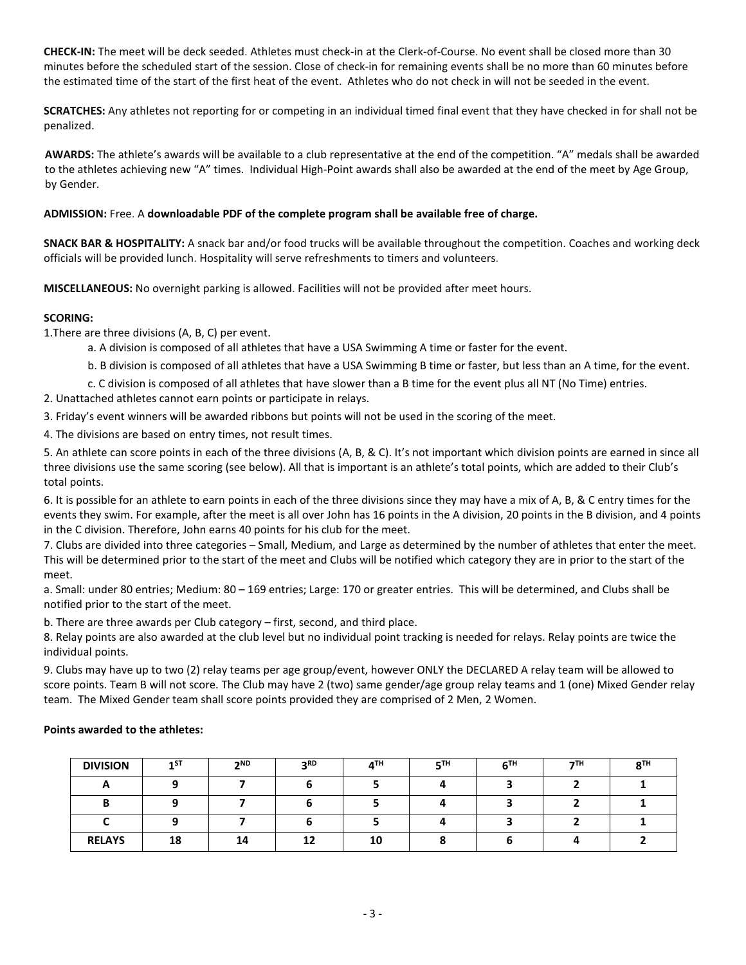**CHECK-IN:** The meet will be deck seeded. Athletes must check-in at the Clerk-of-Course. No event shall be closed more than 30 minutes before the scheduled start of the session. Close of check-in for remaining events shall be no more than 60 minutes before the estimated time of the start of the first heat of the event. Athletes who do not check in will not be seeded in the event.

**SCRATCHES:** Any athletes not reporting for or competing in an individual timed final event that they have checked in for shall not be penalized.

**AWARDS:** The athlete's awards will be available to a club representative at the end of the competition. "A" medals shall be awarded to the athletes achieving new "A" times. Individual High-Point awards shall also be awarded at the end of the meet by Age Group, by Gender.

## **ADMISSION:** Free. A **downloadable PDF of the complete program shall be available free of charge.**

**SNACK BAR & HOSPITALITY:** A snack bar and/or food trucks will be available throughout the competition. Coaches and working deck officials will be provided lunch. Hospitality will serve refreshments to timers and volunteers.

**MISCELLANEOUS:** No overnight parking is allowed. Facilities will not be provided after meet hours.

# **SCORING:**

1.There are three divisions (A, B, C) per event.

a. A division is composed of all athletes that have a USA Swimming A time or faster for the event.

b. B division is composed of all athletes that have a USA Swimming B time or faster, but less than an A time, for the event.

c. C division is composed of all athletes that have slower than a B time for the event plus all NT (No Time) entries.

2. Unattached athletes cannot earn points or participate in relays.

3. Friday's event winners will be awarded ribbons but points will not be used in the scoring of the meet.

4. The divisions are based on entry times, not result times.

5. An athlete can score points in each of the three divisions (A, B, & C). It's not important which division points are earned in since all three divisions use the same scoring (see below). All that is important is an athlete's total points, which are added to their Club's total points.

6. It is possible for an athlete to earn points in each of the three divisions since they may have a mix of A, B, & C entry times for the events they swim. For example, after the meet is all over John has 16 points in the A division, 20 points in the B division, and 4 points in the C division. Therefore, John earns 40 points for his club for the meet.

7. Clubs are divided into three categories – Small, Medium, and Large as determined by the number of athletes that enter the meet. This will be determined prior to the start of the meet and Clubs will be notified which category they are in prior to the start of the meet.

a. Small: under 80 entries; Medium: 80 – 169 entries; Large: 170 or greater entries. This will be determined, and Clubs shall be notified prior to the start of the meet.

b. There are three awards per Club category – first, second, and third place.

8. Relay points are also awarded at the club level but no individual point tracking is needed for relays. Relay points are twice the individual points.

9. Clubs may have up to two (2) relay teams per age group/event, however ONLY the DECLARED A relay team will be allowed to score points. Team B will not score. The Club may have 2 (two) same gender/age group relay teams and 1 (one) Mixed Gender relay team. The Mixed Gender team shall score points provided they are comprised of 2 Men, 2 Women.

### **Points awarded to the athletes:**

| <b>DIVISION</b> | 1ST | <b>DND</b> | <b>2RD</b> | $A^{TH}$ | 5 <sup>TH</sup> | 6 <sup>TH</sup> | 7 <sup>TH</sup> | 8 <sup>TH</sup> |
|-----------------|-----|------------|------------|----------|-----------------|-----------------|-----------------|-----------------|
|                 |     |            |            |          |                 |                 |                 |                 |
|                 |     |            |            |          |                 |                 |                 |                 |
|                 |     |            |            |          |                 |                 |                 |                 |
| <b>RELAYS</b>   | 18  | 14         | 12         | 10       |                 |                 |                 |                 |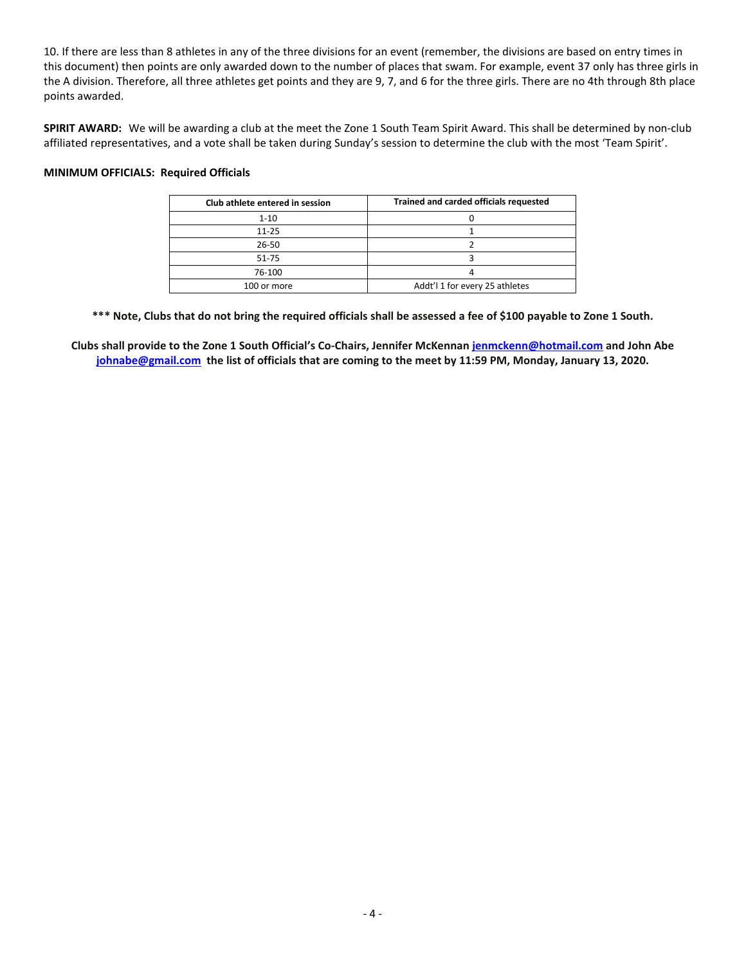10. If there are less than 8 athletes in any of the three divisions for an event (remember, the divisions are based on entry times in this document) then points are only awarded down to the number of places that swam. For example, event 37 only has three girls in the A division. Therefore, all three athletes get points and they are 9, 7, and 6 for the three girls. There are no 4th through 8th place points awarded.

**SPIRIT AWARD:** We will be awarding a club at the meet the Zone 1 South Team Spirit Award. This shall be determined by non-club affiliated representatives, and a vote shall be taken during Sunday's session to determine the club with the most 'Team Spirit'.

### **MINIMUM OFFICIALS: Required Officials**

| Club athlete entered in session | Trained and carded officials requested |
|---------------------------------|----------------------------------------|
| $1 - 10$                        |                                        |
| $11 - 25$                       |                                        |
| $26 - 50$                       |                                        |
| 51-75                           |                                        |
| 76-100                          |                                        |
| 100 or more                     | Addt'l 1 for every 25 athletes         |

**\*\*\* Note, Clubs that do not bring the required officials shall be assessed a fee of \$100 payable to Zone 1 South.**

**Clubs shall provide to the Zone 1 South Official's Co-Chairs, Jennifer McKenna[n jenmckenn@hotmail.com](mailto:jenmckenn@hotmail.com) and John Abe [johnabe@gmail.com](mailto:johnabe@gmail.com) the list of officials that are coming to the meet by 11:59 PM, Monday, January 13, 2020.**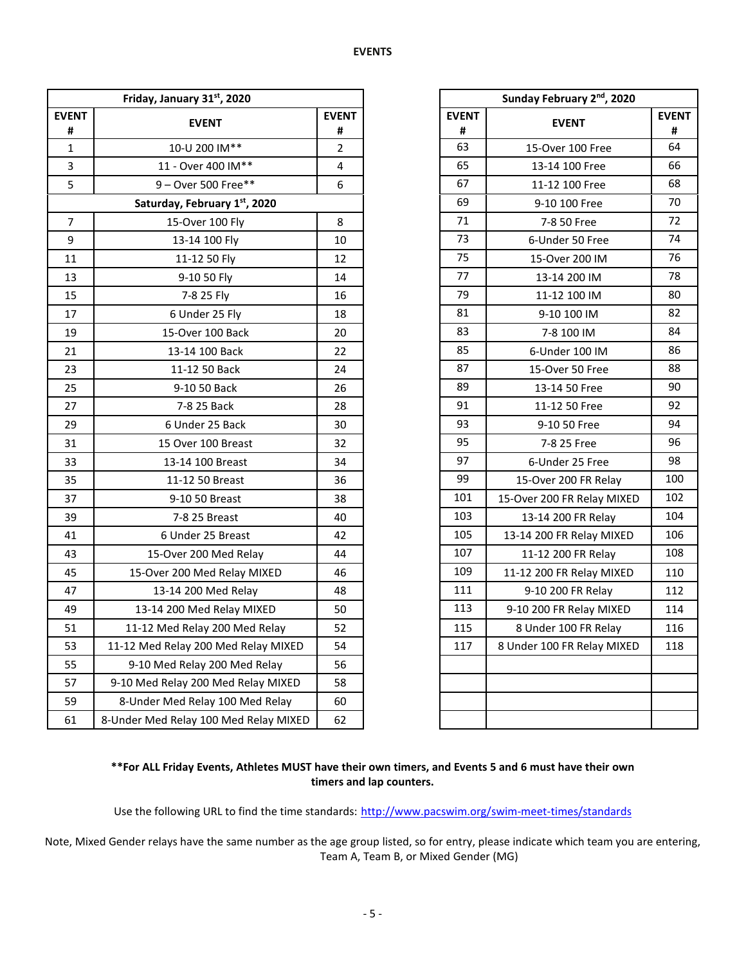|                   | Friday, January 31st, 2020            | Sunday February 2nd, 2020 |                   |                            |                  |  |  |
|-------------------|---------------------------------------|---------------------------|-------------------|----------------------------|------------------|--|--|
| <b>EVENT</b><br># | <b>EVENT</b>                          | <b>EVENT</b><br>#         | <b>EVENT</b><br># | <b>EVENT</b>               | <b>EVEN</b><br># |  |  |
| $\mathbf{1}$      | 10-U 200 IM**                         | $\overline{2}$            | 63                | 15-Over 100 Free           | 64               |  |  |
| $\overline{3}$    | 11 - Over 400 IM**                    | 4                         | 65                | 13-14 100 Free             | 66               |  |  |
| 5                 | 9-Over 500 Free**                     | 6                         | 67                | 11-12 100 Free             | 68               |  |  |
|                   | Saturday, February 1st, 2020          |                           | 69                | 9-10 100 Free              | 70               |  |  |
| $\overline{7}$    | 15-Over 100 Fly                       | 8                         | 71                | 7-8 50 Free                | 72               |  |  |
| 9                 | 13-14 100 Fly                         | 10                        | 73                | 6-Under 50 Free            | 74               |  |  |
| 11                | 11-12 50 Fly                          | 12                        | 75                | 15-Over 200 IM             | 76               |  |  |
| 13                | 9-10 50 Fly                           | 14                        | 77                | 13-14 200 IM               | 78               |  |  |
| 15                | 7-8 25 Fly                            | 16                        | 79                | 11-12 100 IM               | 80               |  |  |
| 17                | 6 Under 25 Fly                        | 18                        | 81                | 9-10 100 IM                | 82               |  |  |
| 19                | 15-Over 100 Back                      | 20                        | 83                | 7-8 100 IM                 | 84               |  |  |
| 21                | 13-14 100 Back                        | 22                        | 85                | 6-Under 100 IM             | 86               |  |  |
| 23                | 11-12 50 Back                         | 24                        | 87                | 15-Over 50 Free            | 88               |  |  |
| 25                | 9-10 50 Back                          | 26                        | 89                | 13-14 50 Free              | 90               |  |  |
| 27                | 7-8 25 Back                           | 28                        | 91                | 11-12 50 Free              | 92               |  |  |
| 29                | 6 Under 25 Back                       | 30                        | 93                | 9-10 50 Free               | 94               |  |  |
| 31                | 15 Over 100 Breast                    | 32                        | 95                | 7-8 25 Free                | 96               |  |  |
| 33                | 13-14 100 Breast                      | 34                        | 97                | 6-Under 25 Free            | 98               |  |  |
| 35                | 11-12 50 Breast                       | 36                        | 99                | 15-Over 200 FR Relay       | 100              |  |  |
| 37                | 9-10 50 Breast                        | 38                        | 101               | 15-Over 200 FR Relay MIXED | 102              |  |  |
| 39                | 7-8 25 Breast                         | 40                        | 103               | 13-14 200 FR Relay         | 104              |  |  |
| 41                | 6 Under 25 Breast                     | 42                        | 105               | 13-14 200 FR Relay MIXED   | 106              |  |  |
| 43                | 15-Over 200 Med Relay                 | 44                        | 107               | 11-12 200 FR Relay         | 108              |  |  |
| 45                | 15-Over 200 Med Relay MIXED           | 46                        | 109               | 11-12 200 FR Relay MIXED   | 110              |  |  |
| 47                | 13-14 200 Med Relay                   | 48                        | 111               | 9-10 200 FR Relay          | 112              |  |  |
| 49                | 13-14 200 Med Relay MIXED             | 50                        | 113               | 9-10 200 FR Relay MIXED    | 114              |  |  |
| 51                | 11-12 Med Relay 200 Med Relay         | 52                        | 115               | 8 Under 100 FR Relay       | 116              |  |  |
| 53                | 11-12 Med Relay 200 Med Relay MIXED   | 54                        | 117               | 8 Under 100 FR Relay MIXED | 118              |  |  |
| 55                | 9-10 Med Relay 200 Med Relay          | 56                        |                   |                            |                  |  |  |
| 57                | 9-10 Med Relay 200 Med Relay MIXED    | 58                        |                   |                            |                  |  |  |
| 59                | 8-Under Med Relay 100 Med Relay       | 60                        |                   |                            |                  |  |  |
| 61                | 8-Under Med Relay 100 Med Relay MIXED | 62                        |                   |                            |                  |  |  |

| day, January 31st, 2020          |                   |  |
|----------------------------------|-------------------|--|
| <b>EVENT</b>                     | <b>EVENT</b><br># |  |
| 10-U 200 IM**                    | $\overline{2}$    |  |
| 11 - Over 400 IM**               | $\overline{4}$    |  |
| 9-Over 500 Free**                | 6                 |  |
| Saturday, February 1st, 2020     |                   |  |
| 15-Over 100 Fly                  | 8                 |  |
| 13-14 100 Fly                    | 10                |  |
| 11-12 50 Fly                     | 12                |  |
| 9-10 50 Fly                      | 14                |  |
| 7-8 25 Fly                       | 16                |  |
| 6 Under 25 Fly                   | 18                |  |
| 15-Over 100 Back                 | 20                |  |
| 13-14 100 Back                   | 22                |  |
| 11-12 50 Back                    | 24                |  |
| 9-10 50 Back                     | 26                |  |
| 7-8 25 Back                      | 28                |  |
| 6 Under 25 Back                  | 30                |  |
| 15 Over 100 Breast               | 32                |  |
| 13-14 100 Breast                 | 34                |  |
| 11-12 50 Breast                  | 36                |  |
| 9-10 50 Breast                   | 38                |  |
| 7-8 25 Breast                    | 40                |  |
| 6 Under 25 Breast                | 42                |  |
| 15-Over 200 Med Relay            | 44                |  |
| 5-Over 200 Med Relay MIXED       | 46                |  |
| 13-14 200 Med Relay              | 48                |  |
| 13-14 200 Med Relay MIXED        | 50                |  |
| 1-12 Med Relay 200 Med Relay     | 52                |  |
| Med Relay 200 Med Relay MIXED    | 54                |  |
| -10 Med Relay 200 Med Relay      | 56                |  |
| Med Relay 200 Med Relay MIXED    | 58                |  |
| Inder Med Relay 100 Med Relay    | 60                |  |
| er Med Relay 100 Med Relay MIXED | 62                |  |

# **\*\*For ALL Friday Events, Athletes MUST have their own timers, and Events 5 and 6 must have their own timers and lap counters.**

Use the following URL to find the time standards: <http://www.pacswim.org/swim-meet-times/standards>

Note, Mixed Gender relays have the same number as the age group listed, so for entry, please indicate which team you are entering, Team A, Team B, or Mixed Gender (MG)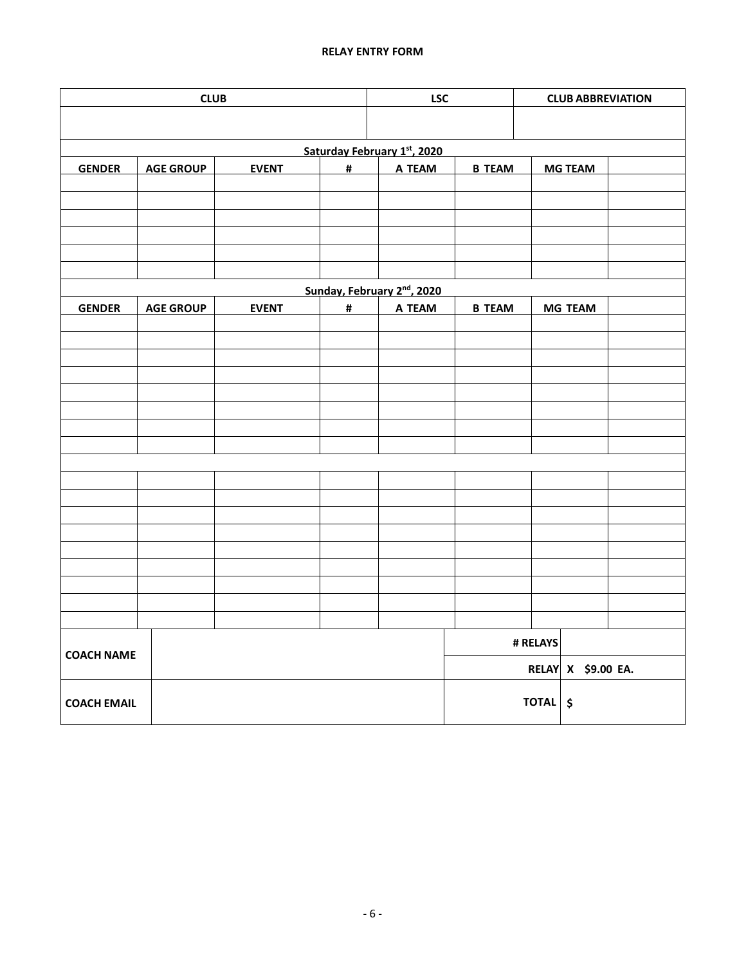#### **RELAY ENTRY FORM**

| <b>CLUB</b><br><b>LSC</b> |                  |                             |                |                                      | <b>CLUB ABBREVIATION</b> |          |                    |  |  |
|---------------------------|------------------|-----------------------------|----------------|--------------------------------------|--------------------------|----------|--------------------|--|--|
|                           |                  |                             |                |                                      |                          |          |                    |  |  |
|                           |                  | Saturday February 1st, 2020 |                |                                      |                          |          |                    |  |  |
| <b>GENDER</b>             | <b>AGE GROUP</b> | <b>B TEAM</b>               |                |                                      |                          |          |                    |  |  |
|                           |                  | <b>EVENT</b>                | #              | A TEAM                               |                          |          | <b>MG TEAM</b>     |  |  |
|                           |                  |                             |                |                                      |                          |          |                    |  |  |
|                           |                  |                             |                |                                      |                          |          |                    |  |  |
|                           |                  |                             |                |                                      |                          |          |                    |  |  |
|                           |                  |                             |                |                                      |                          |          |                    |  |  |
|                           |                  |                             |                |                                      |                          |          |                    |  |  |
| <b>GENDER</b>             | <b>AGE GROUP</b> | <b>EVENT</b>                | $\pmb{\sharp}$ | Sunday, February 2nd, 2020<br>A TEAM | <b>B TEAM</b>            |          |                    |  |  |
|                           |                  |                             |                |                                      |                          |          | <b>MG TEAM</b>     |  |  |
|                           |                  |                             |                |                                      |                          |          |                    |  |  |
|                           |                  |                             |                |                                      |                          |          |                    |  |  |
|                           |                  |                             |                |                                      |                          |          |                    |  |  |
|                           |                  |                             |                |                                      |                          |          |                    |  |  |
|                           |                  |                             |                |                                      |                          |          |                    |  |  |
|                           |                  |                             |                |                                      |                          |          |                    |  |  |
|                           |                  |                             |                |                                      |                          |          |                    |  |  |
|                           |                  |                             |                |                                      |                          |          |                    |  |  |
|                           |                  |                             |                |                                      |                          |          |                    |  |  |
|                           |                  |                             |                |                                      |                          |          |                    |  |  |
|                           |                  |                             |                |                                      |                          |          |                    |  |  |
|                           |                  |                             |                |                                      |                          |          |                    |  |  |
|                           |                  |                             |                |                                      |                          |          |                    |  |  |
|                           |                  |                             |                |                                      |                          |          |                    |  |  |
|                           |                  |                             |                |                                      |                          |          |                    |  |  |
|                           |                  |                             |                |                                      |                          |          |                    |  |  |
| <b>COACH NAME</b>         |                  |                             |                |                                      |                          | # RELAYS |                    |  |  |
|                           |                  |                             |                |                                      |                          |          | RELAY X \$9.00 EA. |  |  |
|                           |                  |                             |                |                                      |                          |          |                    |  |  |
| <b>COACH EMAIL</b>        |                  |                             |                |                                      |                          | TOTAL    | \$                 |  |  |